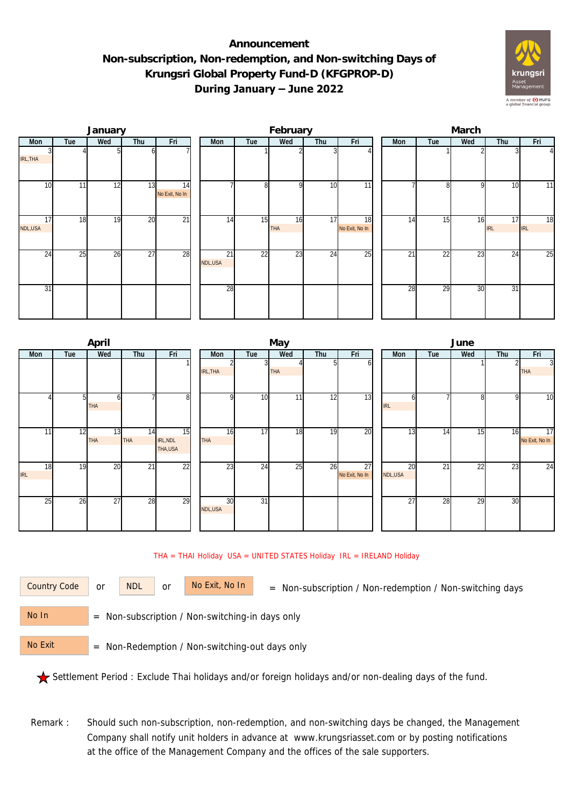## **Announcement Non-subscription, Non-redemption, and Non-switching Days of Krungsri Global Property Fund-D (KFGPROP-D) During January – June 2022**



|               |     | January |                 |                      | February |                            |     |                  |                 |                      | March |                 |                 |              |                  |                |  |  |
|---------------|-----|---------|-----------------|----------------------|----------|----------------------------|-----|------------------|-----------------|----------------------|-------|-----------------|-----------------|--------------|------------------|----------------|--|--|
| Mon           | Tue | Wed     | Thu             | Fri                  |          | Mon                        | Tue | Wed              | Thu             | Fri                  |       | Mon             | Tue             | Wed          | Thu              | Fri            |  |  |
| IRL, THA      |     |         |                 |                      |          |                            |     |                  |                 |                      |       |                 |                 |              |                  | $\overline{4}$ |  |  |
| 10            | 11  | 12      | 13              | 14<br>No Exit, No In |          |                            | 8   | $\Omega$         | 10              | 11                   |       |                 | g               | <sup>Q</sup> | 10               | 11             |  |  |
| 17<br>NDL,USA | 18  | 19      | 20              | $\overline{21}$      |          | 14                         | 15  | 16<br><b>THA</b> | $1\overline{7}$ | 18<br>No Exit, No In |       | 14              | 15              | 16           | 17<br><b>IRL</b> | 18<br>IRL      |  |  |
| 24            | 25  | 26      | $\overline{27}$ | 28                   |          | $\overline{21}$<br>NDL,USA | 22  | 23               | 24              | 25                   |       | $2\overline{1}$ | $\overline{22}$ | 23           | $2\overline{4}$  | 25             |  |  |
| 31            |     |         |                 |                      |          | 28                         |     |                  |                 |                      |       | 28              | 29              | 30           | 31               |                |  |  |

|            |     | April      |                 |                |            |                         | June       |     |                |  |            |     |     |     |                |
|------------|-----|------------|-----------------|----------------|------------|-------------------------|------------|-----|----------------|--|------------|-----|-----|-----|----------------|
| Mon        | Tue | Wed        | Thu             | Fri            | Mon        | Tue                     | Wed        | Thu | Fri            |  | Mon        | Tue | Wed | Thu | Fri            |
|            |     |            |                 |                |            | $\overline{\mathbf{3}}$ |            |     |                |  |            |     |     |     | $\overline{3}$ |
|            |     |            |                 |                | IRL, THA   |                         | <b>THA</b> |     |                |  |            |     |     |     | <b>THA</b>     |
|            |     |            |                 |                |            |                         |            |     |                |  |            |     |     |     |                |
|            |     | ΩI         |                 | 8 <sup>1</sup> | O          | 10                      | 11         | 12  | 13             |  |            |     | 8   | 9   | 10             |
|            |     | <b>THA</b> |                 |                |            |                         |            |     |                |  | <b>IRL</b> |     |     |     |                |
|            |     |            |                 |                |            |                         |            |     |                |  |            |     |     |     |                |
| 11         | 12  | 13         | $1\overline{4}$ | 15             | 16         | 17                      | 18         | 19  | 20             |  | 13         | 14  | 15  | 16  | 17             |
|            |     | <b>THA</b> | <b>THA</b>      | IRL, NDL       | <b>THA</b> |                         |            |     |                |  |            |     |     |     | No Exit, No In |
|            |     |            |                 | THA,USA        |            |                         |            |     |                |  |            |     |     |     |                |
| 18         | 19  | 20         | 21              | 22             | 23         | 24                      | 25         | 26  | 27             |  | 20         | 21  | 22  | 23  | 24             |
| <b>IRL</b> |     |            |                 |                |            |                         |            |     | No Exit, No In |  | NDL,USA    |     |     |     |                |
|            |     |            |                 |                |            |                         |            |     |                |  |            |     |     |     |                |
| 25         | 26  | 27         | 28              | 29             | 30         | 31                      |            |     |                |  | 27         | 28  | 29  | 30  |                |
|            |     |            |                 |                | NDL,USA    |                         |            |     |                |  |            |     |     |     |                |
|            |     |            |                 |                |            |                         |            |     |                |  |            |     |     |     |                |

## THA = THAI Holiday USA = UNITED STATES Holiday IRL = IRELAND Holiday

| <b>Country Code</b> |  |
|---------------------|--|
|                     |  |

or NDL or

= Non-subscription / Non-redemption / Non-switching days Country Code No Exit, No In

 = Non-subscription / Non-switching-in days only No In

 = Non-Redemption / Non-switching-out days only No Exit

Settlement Period : Exclude Thai holidays and/or foreign holidays and/or non-dealing days of the fund.

Remark : Should such non-subscription, non-redemption, and non-switching days be changed, the Management Company shall notify unit holders in advance at www.krungsriasset.com or by posting notifications at the office of the Management Company and the offices of the sale supporters.